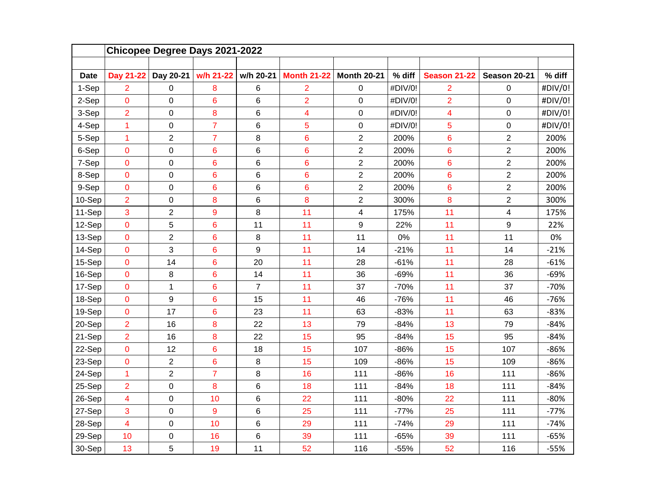|             |                         | Chicopee Degree Days 2021-2022 |                |                |                    |                    |         |                     |                         |         |
|-------------|-------------------------|--------------------------------|----------------|----------------|--------------------|--------------------|---------|---------------------|-------------------------|---------|
|             |                         |                                |                |                |                    |                    |         |                     |                         |         |
| <b>Date</b> | Day 21-22               | Day 20-21                      | w/h 21-22      | w/h 20-21      | <b>Month 21-22</b> | <b>Month 20-21</b> | % diff  | <b>Season 21-22</b> | Season 20-21            | % diff  |
| 1-Sep       | $\overline{2}$          | 0                              | 8              | $\,6$          | $\overline{2}$     | $\pmb{0}$          | #DIV/0! | $\overline{2}$      | 0                       | #DIV/0! |
| 2-Sep       | $\mathbf 0$             | 0                              | 6              | $\,6$          | $\overline{2}$     | $\mathbf 0$        | #DIV/0! | $\overline{2}$      | 0                       | #DIV/0! |
| 3-Sep       | $\overline{2}$          | 0                              | 8              | 6              | 4                  | $\pmb{0}$          | #DIV/0! | 4                   | $\mathsf 0$             | #DIV/0! |
| 4-Sep       | $\mathbf{1}$            | 0                              | $\overline{7}$ | 6              | 5                  | $\mathbf 0$        | #DIV/0! | 5                   | 0                       | #DIV/0! |
| 5-Sep       | $\mathbf{1}$            | 2                              | $\overline{7}$ | 8              | $6\phantom{1}6$    | $\overline{c}$     | 200%    | 6                   | $\overline{c}$          | 200%    |
| 6-Sep       | $\mathbf 0$             | 0                              | 6              | $\,6$          | $6\phantom{1}6$    | $\overline{2}$     | 200%    | 6                   | $\overline{2}$          | 200%    |
| 7-Sep       | $\mathbf 0$             | 0                              | 6              | 6              | $6\phantom{1}6$    | $\overline{2}$     | 200%    | 6                   | $\overline{2}$          | 200%    |
| 8-Sep       | $\mathbf 0$             | 0                              | 6              | 6              | $6\phantom{1}6$    | $\overline{2}$     | 200%    | 6                   | $\overline{2}$          | 200%    |
| 9-Sep       | $\pmb{0}$               | 0                              | 6              | $\,6$          | $6\phantom{1}6$    | $\overline{2}$     | 200%    | 6                   | $\overline{c}$          | 200%    |
| 10-Sep      | $\overline{2}$          | 0                              | 8              | $\,6$          | 8                  | $\overline{c}$     | 300%    | 8                   | $\overline{2}$          | 300%    |
| 11-Sep      | 3                       | $\overline{c}$                 | 9              | 8              | 11                 | 4                  | 175%    | 11                  | $\overline{\mathbf{4}}$ | 175%    |
| 12-Sep      | $\pmb{0}$               | 5                              | 6              | 11             | 11                 | $\boldsymbol{9}$   | 22%     | 11                  | 9                       | 22%     |
| 13-Sep      | $\pmb{0}$               | $\overline{c}$                 | 6              | 8              | 11                 | 11                 | 0%      | 11                  | 11                      | 0%      |
| 14-Sep      | $\mathbf 0$             | 3                              | 6              | 9              | 11                 | 14                 | $-21%$  | 11                  | 14                      | $-21%$  |
| 15-Sep      | $\mathbf 0$             | 14                             | 6              | 20             | 11                 | 28                 | $-61%$  | 11                  | 28                      | $-61%$  |
| 16-Sep      | $\mathbf 0$             | 8                              | 6              | 14             | 11                 | 36                 | $-69%$  | 11                  | 36                      | $-69%$  |
| 17-Sep      | $\pmb{0}$               | $\mathbf{1}$                   | 6              | $\overline{7}$ | 11                 | 37                 | $-70%$  | 11                  | 37                      | $-70%$  |
| 18-Sep      | $\mathbf 0$             | 9                              | 6              | 15             | 11                 | 46                 | $-76%$  | 11                  | 46                      | $-76%$  |
| 19-Sep      | $\mathbf 0$             | 17                             | 6              | 23             | 11                 | 63                 | $-83%$  | 11                  | 63                      | $-83%$  |
| 20-Sep      | $\overline{2}$          | 16                             | 8              | 22             | 13                 | 79                 | $-84%$  | 13                  | 79                      | $-84%$  |
| 21-Sep      | $\overline{2}$          | 16                             | 8              | 22             | 15                 | 95                 | $-84%$  | 15                  | 95                      | $-84%$  |
| 22-Sep      | $\mathbf 0$             | 12                             | 6              | 18             | 15                 | 107                | $-86%$  | 15                  | 107                     | $-86%$  |
| 23-Sep      | $\mathbf 0$             | $\overline{2}$                 | 6              | 8              | 15                 | 109                | $-86%$  | 15                  | 109                     | $-86%$  |
| 24-Sep      | $\mathbf{1}$            | $\overline{c}$                 | $\overline{7}$ | 8              | 16                 | 111                | $-86%$  | 16                  | 111                     | $-86%$  |
| 25-Sep      | $\overline{2}$          | 0                              | 8              | 6              | 18                 | 111                | $-84%$  | 18                  | 111                     | $-84%$  |
| 26-Sep      | $\overline{\mathbf{4}}$ | 0                              | 10             | 6              | 22                 | 111                | $-80%$  | 22                  | 111                     | $-80%$  |
| 27-Sep      | 3                       | 0                              | 9              | 6              | 25                 | 111                | $-77%$  | 25                  | 111                     | $-77%$  |
| 28-Sep      | $\overline{\mathbf{4}}$ | 0                              | 10             | $\,6$          | 29                 | 111                | $-74%$  | 29                  | 111                     | $-74%$  |
| 29-Sep      | 10                      | 0                              | 16             | 6              | 39                 | 111                | $-65%$  | 39                  | 111                     | $-65%$  |
| 30-Sep      | 13                      | 5                              | 19             | 11             | 52                 | 116                | $-55%$  | 52                  | 116                     | $-55%$  |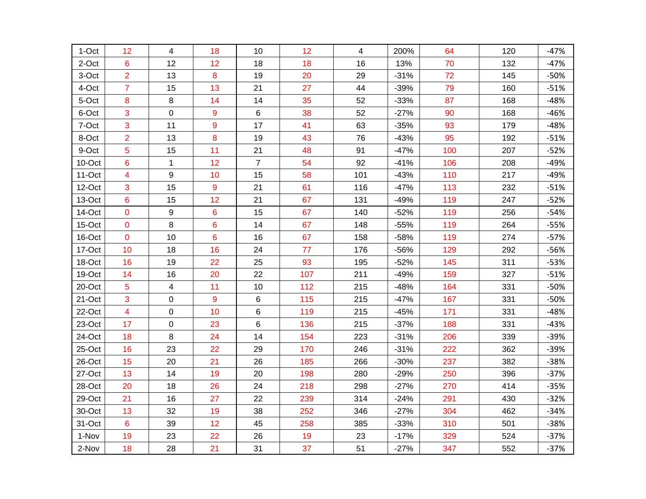| 1-Oct    | 12                      | $\overline{4}$ | 18 | 10             | 12  | $\overline{4}$ | 200%   | 64  | 120 | $-47%$ |
|----------|-------------------------|----------------|----|----------------|-----|----------------|--------|-----|-----|--------|
| 2-Oct    | 6                       | 12             | 12 | 18             | 18  | 16             | 13%    | 70  | 132 | $-47%$ |
| 3-Oct    | $\overline{2}$          | 13             | 8  | 19             | 20  | 29             | $-31%$ | 72  | 145 | $-50%$ |
| 4-Oct    | $\overline{7}$          | 15             | 13 | 21             | 27  | 44             | $-39%$ | 79  | 160 | $-51%$ |
| 5-Oct    | 8                       | 8              | 14 | 14             | 35  | 52             | $-33%$ | 87  | 168 | $-48%$ |
| 6-Oct    | 3                       | 0              | 9  | $6\phantom{1}$ | 38  | 52             | $-27%$ | 90  | 168 | $-46%$ |
| 7-Oct    | 3                       | 11             | 9  | 17             | 41  | 63             | $-35%$ | 93  | 179 | $-48%$ |
| 8-Oct    | $\overline{2}$          | 13             | 8  | 19             | 43  | 76             | $-43%$ | 95  | 192 | $-51%$ |
| 9-Oct    | 5                       | 15             | 11 | 21             | 48  | 91             | $-47%$ | 100 | 207 | $-52%$ |
| 10-Oct   | 6                       | $\mathbf{1}$   | 12 | $\overline{7}$ | 54  | 92             | $-41%$ | 106 | 208 | $-49%$ |
| $11-Oct$ | 4                       | 9              | 10 | 15             | 58  | 101            | $-43%$ | 110 | 217 | $-49%$ |
| 12-Oct   | 3                       | 15             | 9  | 21             | 61  | 116            | $-47%$ | 113 | 232 | $-51%$ |
| 13-Oct   | 6                       | 15             | 12 | 21             | 67  | 131            | $-49%$ | 119 | 247 | $-52%$ |
| 14-Oct   | $\mathbf 0$             | 9              | 6  | 15             | 67  | 140            | $-52%$ | 119 | 256 | $-54%$ |
| 15-Oct   | $\mathbf 0$             | 8              | 6  | 14             | 67  | 148            | $-55%$ | 119 | 264 | $-55%$ |
| 16-Oct   | $\mathbf 0$             | 10             | 6  | 16             | 67  | 158            | $-58%$ | 119 | 274 | $-57%$ |
| 17-Oct   | 10                      | 18             | 16 | 24             | 77  | 176            | -56%   | 129 | 292 | $-56%$ |
| 18-Oct   | 16                      | 19             | 22 | 25             | 93  | 195            | $-52%$ | 145 | 311 | $-53%$ |
| 19-Oct   | 14                      | 16             | 20 | 22             | 107 | 211            | $-49%$ | 159 | 327 | $-51%$ |
| 20-Oct   | 5                       | 4              | 11 | $10$           | 112 | 215            | $-48%$ | 164 | 331 | $-50%$ |
| 21-Oct   | 3                       | 0              | 9  | 6              | 115 | 215            | $-47%$ | 167 | 331 | $-50%$ |
| 22-Oct   | $\overline{\mathbf{4}}$ | $\mathbf 0$    | 10 | 6              | 119 | 215            | $-45%$ | 171 | 331 | $-48%$ |
| 23-Oct   | 17                      | 0              | 23 | 6              | 136 | 215            | $-37%$ | 188 | 331 | $-43%$ |
| 24-Oct   | 18                      | 8              | 24 | 14             | 154 | 223            | $-31%$ | 206 | 339 | $-39%$ |
| 25-Oct   | 16                      | 23             | 22 | 29             | 170 | 246            | $-31%$ | 222 | 362 | $-39%$ |
| 26-Oct   | 15                      | 20             | 21 | 26             | 185 | 266            | $-30%$ | 237 | 382 | $-38%$ |
| 27-Oct   | 13                      | 14             | 19 | 20             | 198 | 280            | $-29%$ | 250 | 396 | $-37%$ |
| 28-Oct   | 20                      | 18             | 26 | 24             | 218 | 298            | $-27%$ | 270 | 414 | $-35%$ |
| 29-Oct   | 21                      | 16             | 27 | 22             | 239 | 314            | $-24%$ | 291 | 430 | $-32%$ |
| 30-Oct   | 13                      | 32             | 19 | 38             | 252 | 346            | $-27%$ | 304 | 462 | $-34%$ |
| 31-Oct   | $6\phantom{1}6$         | 39             | 12 | 45             | 258 | 385            | $-33%$ | 310 | 501 | $-38%$ |
| 1-Nov    | 19                      | 23             | 22 | 26             | 19  | 23             | $-17%$ | 329 | 524 | $-37%$ |
| 2-Nov    | 18                      | 28             | 21 | 31             | 37  | 51             | $-27%$ | 347 | 552 | $-37%$ |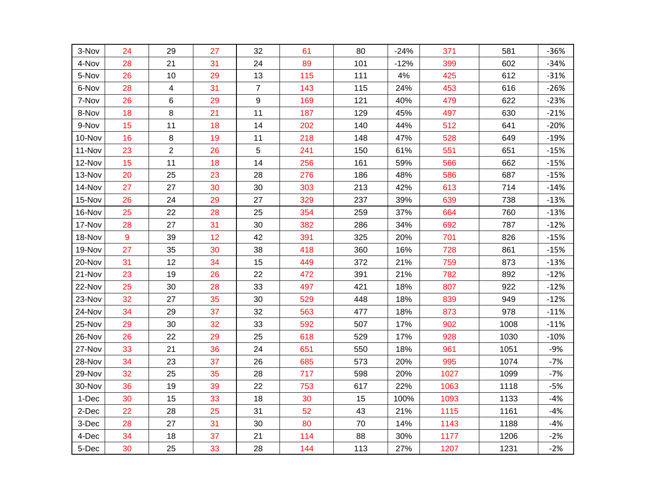| 3-Nov  | 24 | 29             | 27 | 32               | 61  | 80  | $-24%$ | 371  | 581  | $-36%$ |
|--------|----|----------------|----|------------------|-----|-----|--------|------|------|--------|
| 4-Nov  | 28 | 21             | 31 | 24               | 89  | 101 | $-12%$ | 399  | 602  | $-34%$ |
| 5-Nov  | 26 | 10             | 29 | 13               | 115 | 111 | 4%     | 425  | 612  | $-31%$ |
| 6-Nov  | 28 | 4              | 31 | $\overline{7}$   | 143 | 115 | 24%    | 453  | 616  | $-26%$ |
| 7-Nov  | 26 | 6              | 29 | $\boldsymbol{9}$ | 169 | 121 | 40%    | 479  | 622  | $-23%$ |
| 8-Nov  | 18 | 8              | 21 | 11               | 187 | 129 | 45%    | 497  | 630  | $-21%$ |
| 9-Nov  | 15 | 11             | 18 | 14               | 202 | 140 | 44%    | 512  | 641  | $-20%$ |
| 10-Nov | 16 | 8              | 19 | 11               | 218 | 148 | 47%    | 528  | 649  | $-19%$ |
| 11-Nov | 23 | $\overline{2}$ | 26 | 5                | 241 | 150 | 61%    | 551  | 651  | $-15%$ |
| 12-Nov | 15 | 11             | 18 | 14               | 256 | 161 | 59%    | 566  | 662  | $-15%$ |
| 13-Nov | 20 | 25             | 23 | 28               | 276 | 186 | 48%    | 586  | 687  | $-15%$ |
| 14-Nov | 27 | 27             | 30 | 30               | 303 | 213 | 42%    | 613  | 714  | $-14%$ |
| 15-Nov | 26 | 24             | 29 | 27               | 329 | 237 | 39%    | 639  | 738  | $-13%$ |
| 16-Nov | 25 | 22             | 28 | 25               | 354 | 259 | 37%    | 664  | 760  | $-13%$ |
| 17-Nov | 28 | 27             | 31 | 30               | 382 | 286 | 34%    | 692  | 787  | $-12%$ |
| 18-Nov | 9  | 39             | 12 | 42               | 391 | 325 | 20%    | 701  | 826  | $-15%$ |
| 19-Nov | 27 | 35             | 30 | 38               | 418 | 360 | 16%    | 728  | 861  | $-15%$ |
| 20-Nov | 31 | 12             | 34 | 15               | 449 | 372 | 21%    | 759  | 873  | $-13%$ |
| 21-Nov | 23 | 19             | 26 | 22               | 472 | 391 | 21%    | 782  | 892  | $-12%$ |
| 22-Nov | 25 | 30             | 28 | 33               | 497 | 421 | 18%    | 807  | 922  | $-12%$ |
| 23-Nov | 32 | 27             | 35 | 30               | 529 | 448 | 18%    | 839  | 949  | $-12%$ |
| 24-Nov | 34 | 29             | 37 | 32               | 563 | 477 | 18%    | 873  | 978  | $-11%$ |
| 25-Nov | 29 | 30             | 32 | 33               | 592 | 507 | 17%    | 902  | 1008 | $-11%$ |
| 26-Nov | 26 | 22             | 29 | 25               | 618 | 529 | 17%    | 928  | 1030 | $-10%$ |
| 27-Nov | 33 | 21             | 36 | 24               | 651 | 550 | 18%    | 961  | 1051 | $-9%$  |
| 28-Nov | 34 | 23             | 37 | 26               | 685 | 573 | 20%    | 995  | 1074 | $-7%$  |
| 29-Nov | 32 | 25             | 35 | 28               | 717 | 598 | 20%    | 1027 | 1099 | $-7%$  |
| 30-Nov | 36 | 19             | 39 | 22               | 753 | 617 | 22%    | 1063 | 1118 | $-5%$  |
| 1-Dec  | 30 | 15             | 33 | 18               | 30  | 15  | 100%   | 1093 | 1133 | $-4%$  |
| 2-Dec  | 22 | 28             | 25 | 31               | 52  | 43  | 21%    | 1115 | 1161 | $-4%$  |
| 3-Dec  | 28 | 27             | 31 | 30               | 80  | 70  | 14%    | 1143 | 1188 | $-4%$  |
| 4-Dec  | 34 | 18             | 37 | 21               | 114 | 88  | 30%    | 1177 | 1206 | $-2%$  |
| 5-Dec  | 30 | 25             | 33 | 28               | 144 | 113 | 27%    | 1207 | 1231 | $-2%$  |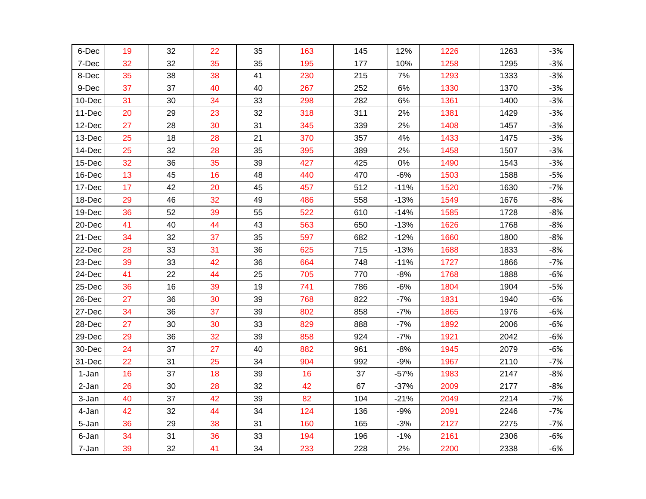| 6-Dec  | 19 | 32 | 22 | 35 | 163 | 145 | 12%    | 1226 | 1263 | $-3%$ |
|--------|----|----|----|----|-----|-----|--------|------|------|-------|
| 7-Dec  | 32 | 32 | 35 | 35 | 195 | 177 | 10%    | 1258 | 1295 | $-3%$ |
| 8-Dec  | 35 | 38 | 38 | 41 | 230 | 215 | 7%     | 1293 | 1333 | $-3%$ |
| 9-Dec  | 37 | 37 | 40 | 40 | 267 | 252 | 6%     | 1330 | 1370 | $-3%$ |
| 10-Dec | 31 | 30 | 34 | 33 | 298 | 282 | $6\%$  | 1361 | 1400 | $-3%$ |
| 11-Dec | 20 | 29 | 23 | 32 | 318 | 311 | 2%     | 1381 | 1429 | $-3%$ |
| 12-Dec | 27 | 28 | 30 | 31 | 345 | 339 | 2%     | 1408 | 1457 | $-3%$ |
| 13-Dec | 25 | 18 | 28 | 21 | 370 | 357 | 4%     | 1433 | 1475 | $-3%$ |
| 14-Dec | 25 | 32 | 28 | 35 | 395 | 389 | 2%     | 1458 | 1507 | $-3%$ |
| 15-Dec | 32 | 36 | 35 | 39 | 427 | 425 | $0\%$  | 1490 | 1543 | $-3%$ |
| 16-Dec | 13 | 45 | 16 | 48 | 440 | 470 | $-6%$  | 1503 | 1588 | $-5%$ |
| 17-Dec | 17 | 42 | 20 | 45 | 457 | 512 | $-11%$ | 1520 | 1630 | $-7%$ |
| 18-Dec | 29 | 46 | 32 | 49 | 486 | 558 | $-13%$ | 1549 | 1676 | $-8%$ |
| 19-Dec | 36 | 52 | 39 | 55 | 522 | 610 | $-14%$ | 1585 | 1728 | $-8%$ |
| 20-Dec | 41 | 40 | 44 | 43 | 563 | 650 | $-13%$ | 1626 | 1768 | $-8%$ |
| 21-Dec | 34 | 32 | 37 | 35 | 597 | 682 | $-12%$ | 1660 | 1800 | $-8%$ |
| 22-Dec | 28 | 33 | 31 | 36 | 625 | 715 | $-13%$ | 1688 | 1833 | $-8%$ |
| 23-Dec | 39 | 33 | 42 | 36 | 664 | 748 | $-11%$ | 1727 | 1866 | $-7%$ |
| 24-Dec | 41 | 22 | 44 | 25 | 705 | 770 | $-8%$  | 1768 | 1888 | $-6%$ |
| 25-Dec | 36 | 16 | 39 | 19 | 741 | 786 | $-6%$  | 1804 | 1904 | $-5%$ |
| 26-Dec | 27 | 36 | 30 | 39 | 768 | 822 | $-7%$  | 1831 | 1940 | $-6%$ |
| 27-Dec | 34 | 36 | 37 | 39 | 802 | 858 | $-7%$  | 1865 | 1976 | $-6%$ |
| 28-Dec | 27 | 30 | 30 | 33 | 829 | 888 | $-7%$  | 1892 | 2006 | $-6%$ |
| 29-Dec | 29 | 36 | 32 | 39 | 858 | 924 | $-7%$  | 1921 | 2042 | $-6%$ |
| 30-Dec | 24 | 37 | 27 | 40 | 882 | 961 | $-8%$  | 1945 | 2079 | $-6%$ |
| 31-Dec | 22 | 31 | 25 | 34 | 904 | 992 | $-9%$  | 1967 | 2110 | $-7%$ |
| 1-Jan  | 16 | 37 | 18 | 39 | 16  | 37  | $-57%$ | 1983 | 2147 | $-8%$ |
| 2-Jan  | 26 | 30 | 28 | 32 | 42  | 67  | $-37%$ | 2009 | 2177 | $-8%$ |
| 3-Jan  | 40 | 37 | 42 | 39 | 82  | 104 | $-21%$ | 2049 | 2214 | $-7%$ |
| 4-Jan  | 42 | 32 | 44 | 34 | 124 | 136 | $-9%$  | 2091 | 2246 | $-7%$ |
| 5-Jan  | 36 | 29 | 38 | 31 | 160 | 165 | $-3%$  | 2127 | 2275 | $-7%$ |
| 6-Jan  | 34 | 31 | 36 | 33 | 194 | 196 | $-1%$  | 2161 | 2306 | $-6%$ |
| 7-Jan  | 39 | 32 | 41 | 34 | 233 | 228 | 2%     | 2200 | 2338 | $-6%$ |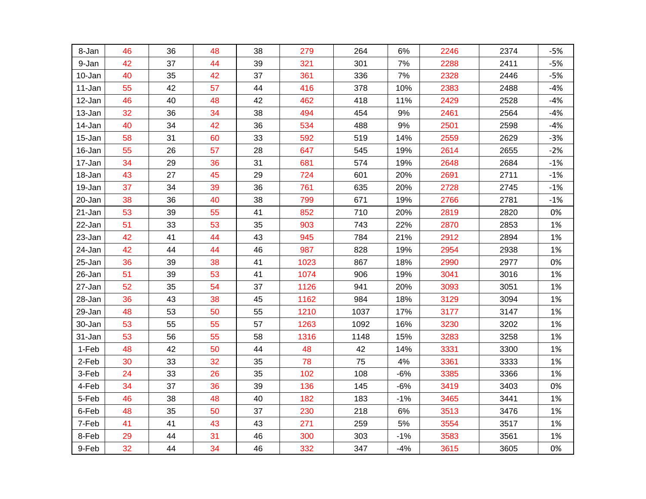| 8-Jan  | 46 | 36 | 48 | 38 | 279  | 264  | 6%    | 2246 | 2374 | $-5%$ |
|--------|----|----|----|----|------|------|-------|------|------|-------|
| 9-Jan  | 42 | 37 | 44 | 39 | 321  | 301  | 7%    | 2288 | 2411 | $-5%$ |
| 10-Jan | 40 | 35 | 42 | 37 | 361  | 336  | 7%    | 2328 | 2446 | $-5%$ |
| 11-Jan | 55 | 42 | 57 | 44 | 416  | 378  | 10%   | 2383 | 2488 | $-4%$ |
| 12-Jan | 46 | 40 | 48 | 42 | 462  | 418  | 11%   | 2429 | 2528 | $-4%$ |
| 13-Jan | 32 | 36 | 34 | 38 | 494  | 454  | 9%    | 2461 | 2564 | $-4%$ |
| 14-Jan | 40 | 34 | 42 | 36 | 534  | 488  | $9%$  | 2501 | 2598 | $-4%$ |
| 15-Jan | 58 | 31 | 60 | 33 | 592  | 519  | 14%   | 2559 | 2629 | $-3%$ |
| 16-Jan | 55 | 26 | 57 | 28 | 647  | 545  | 19%   | 2614 | 2655 | $-2%$ |
| 17-Jan | 34 | 29 | 36 | 31 | 681  | 574  | 19%   | 2648 | 2684 | $-1%$ |
| 18-Jan | 43 | 27 | 45 | 29 | 724  | 601  | 20%   | 2691 | 2711 | $-1%$ |
| 19-Jan | 37 | 34 | 39 | 36 | 761  | 635  | 20%   | 2728 | 2745 | $-1%$ |
| 20-Jan | 38 | 36 | 40 | 38 | 799  | 671  | 19%   | 2766 | 2781 | $-1%$ |
| 21-Jan | 53 | 39 | 55 | 41 | 852  | 710  | 20%   | 2819 | 2820 | 0%    |
| 22-Jan | 51 | 33 | 53 | 35 | 903  | 743  | 22%   | 2870 | 2853 | 1%    |
| 23-Jan | 42 | 41 | 44 | 43 | 945  | 784  | 21%   | 2912 | 2894 | 1%    |
| 24-Jan | 42 | 44 | 44 | 46 | 987  | 828  | 19%   | 2954 | 2938 | 1%    |
| 25-Jan | 36 | 39 | 38 | 41 | 1023 | 867  | 18%   | 2990 | 2977 | 0%    |
| 26-Jan | 51 | 39 | 53 | 41 | 1074 | 906  | 19%   | 3041 | 3016 | 1%    |
| 27-Jan | 52 | 35 | 54 | 37 | 1126 | 941  | 20%   | 3093 | 3051 | 1%    |
| 28-Jan | 36 | 43 | 38 | 45 | 1162 | 984  | 18%   | 3129 | 3094 | 1%    |
| 29-Jan | 48 | 53 | 50 | 55 | 1210 | 1037 | 17%   | 3177 | 3147 | 1%    |
| 30-Jan | 53 | 55 | 55 | 57 | 1263 | 1092 | 16%   | 3230 | 3202 | 1%    |
| 31-Jan | 53 | 56 | 55 | 58 | 1316 | 1148 | 15%   | 3283 | 3258 | 1%    |
| 1-Feb  | 48 | 42 | 50 | 44 | 48   | 42   | 14%   | 3331 | 3300 | 1%    |
| 2-Feb  | 30 | 33 | 32 | 35 | 78   | 75   | 4%    | 3361 | 3333 | 1%    |
| 3-Feb  | 24 | 33 | 26 | 35 | 102  | 108  | $-6%$ | 3385 | 3366 | 1%    |
| 4-Feb  | 34 | 37 | 36 | 39 | 136  | 145  | $-6%$ | 3419 | 3403 | 0%    |
| 5-Feb  | 46 | 38 | 48 | 40 | 182  | 183  | $-1%$ | 3465 | 3441 | 1%    |
| 6-Feb  | 48 | 35 | 50 | 37 | 230  | 218  | $6\%$ | 3513 | 3476 | 1%    |
| 7-Feb  | 41 | 41 | 43 | 43 | 271  | 259  | $5\%$ | 3554 | 3517 | 1%    |
| 8-Feb  | 29 | 44 | 31 | 46 | 300  | 303  | $-1%$ | 3583 | 3561 | 1%    |
| 9-Feb  | 32 | 44 | 34 | 46 | 332  | 347  | $-4%$ | 3615 | 3605 | 0%    |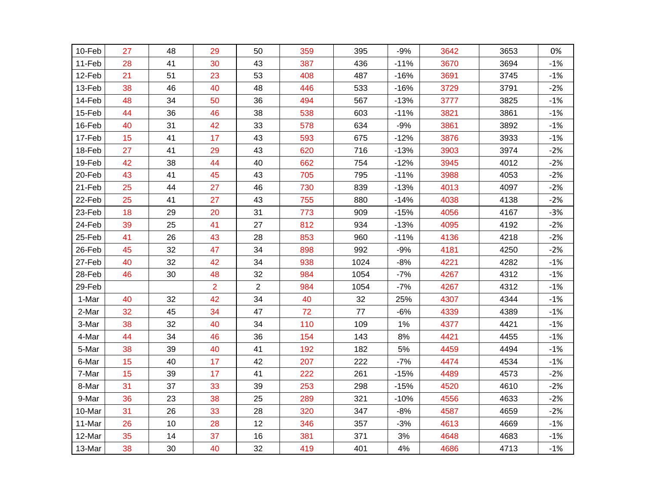| 10-Feb | 27 | 48 | 29             | 50             | 359 | 395  | $-9%$  | 3642 | 3653 | 0%    |
|--------|----|----|----------------|----------------|-----|------|--------|------|------|-------|
| 11-Feb | 28 | 41 | 30             | 43             | 387 | 436  | $-11%$ | 3670 | 3694 | $-1%$ |
| 12-Feb | 21 | 51 | 23             | 53             | 408 | 487  | $-16%$ | 3691 | 3745 | $-1%$ |
| 13-Feb | 38 | 46 | 40             | 48             | 446 | 533  | $-16%$ | 3729 | 3791 | $-2%$ |
| 14-Feb | 48 | 34 | 50             | 36             | 494 | 567  | $-13%$ | 3777 | 3825 | $-1%$ |
| 15-Feb | 44 | 36 | 46             | 38             | 538 | 603  | $-11%$ | 3821 | 3861 | $-1%$ |
| 16-Feb | 40 | 31 | 42             | 33             | 578 | 634  | $-9%$  | 3861 | 3892 | $-1%$ |
| 17-Feb | 15 | 41 | 17             | 43             | 593 | 675  | $-12%$ | 3876 | 3933 | $-1%$ |
| 18-Feb | 27 | 41 | 29             | 43             | 620 | 716  | $-13%$ | 3903 | 3974 | $-2%$ |
| 19-Feb | 42 | 38 | 44             | 40             | 662 | 754  | $-12%$ | 3945 | 4012 | $-2%$ |
| 20-Feb | 43 | 41 | 45             | 43             | 705 | 795  | $-11%$ | 3988 | 4053 | $-2%$ |
| 21-Feb | 25 | 44 | 27             | 46             | 730 | 839  | $-13%$ | 4013 | 4097 | $-2%$ |
| 22-Feb | 25 | 41 | 27             | 43             | 755 | 880  | $-14%$ | 4038 | 4138 | $-2%$ |
| 23-Feb | 18 | 29 | 20             | 31             | 773 | 909  | $-15%$ | 4056 | 4167 | $-3%$ |
| 24-Feb | 39 | 25 | 41             | 27             | 812 | 934  | $-13%$ | 4095 | 4192 | $-2%$ |
| 25-Feb | 41 | 26 | 43             | 28             | 853 | 960  | $-11%$ | 4136 | 4218 | $-2%$ |
| 26-Feb | 45 | 32 | 47             | 34             | 898 | 992  | $-9%$  | 4181 | 4250 | $-2%$ |
| 27-Feb | 40 | 32 | 42             | 34             | 938 | 1024 | $-8%$  | 4221 | 4282 | $-1%$ |
| 28-Feb | 46 | 30 | 48             | 32             | 984 | 1054 | $-7%$  | 4267 | 4312 | $-1%$ |
| 29-Feb |    |    | $\overline{2}$ | $\overline{c}$ | 984 | 1054 | $-7%$  | 4267 | 4312 | $-1%$ |
| 1-Mar  | 40 | 32 | 42             | 34             | 40  | 32   | 25%    | 4307 | 4344 | $-1%$ |
| 2-Mar  | 32 | 45 | 34             | 47             | 72  | 77   | $-6%$  | 4339 | 4389 | $-1%$ |
| 3-Mar  | 38 | 32 | 40             | 34             | 110 | 109  | 1%     | 4377 | 4421 | $-1%$ |
| 4-Mar  | 44 | 34 | 46             | 36             | 154 | 143  | 8%     | 4421 | 4455 | $-1%$ |
| 5-Mar  | 38 | 39 | 40             | 41             | 192 | 182  | 5%     | 4459 | 4494 | $-1%$ |
| 6-Mar  | 15 | 40 | 17             | 42             | 207 | 222  | $-7%$  | 4474 | 4534 | $-1%$ |
| 7-Mar  | 15 | 39 | 17             | 41             | 222 | 261  | $-15%$ | 4489 | 4573 | $-2%$ |
| 8-Mar  | 31 | 37 | 33             | 39             | 253 | 298  | $-15%$ | 4520 | 4610 | $-2%$ |
| 9-Mar  | 36 | 23 | 38             | 25             | 289 | 321  | $-10%$ | 4556 | 4633 | $-2%$ |
| 10-Mar | 31 | 26 | 33             | 28             | 320 | 347  | $-8%$  | 4587 | 4659 | $-2%$ |
| 11-Mar | 26 | 10 | 28             | 12             | 346 | 357  | $-3%$  | 4613 | 4669 | $-1%$ |
| 12-Mar | 35 | 14 | 37             | 16             | 381 | 371  | 3%     | 4648 | 4683 | $-1%$ |
| 13-Mar | 38 | 30 | 40             | 32             | 419 | 401  | 4%     | 4686 | 4713 | $-1%$ |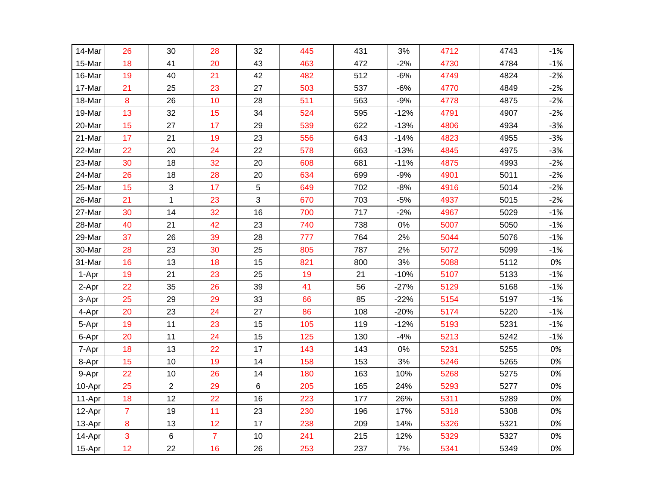| 14-Mar | 26             | 30             | 28             | 32    | 445 | 431 | 3%     | 4712 | 4743 | $-1%$ |
|--------|----------------|----------------|----------------|-------|-----|-----|--------|------|------|-------|
| 15-Mar | 18             | 41             | 20             | 43    | 463 | 472 | $-2%$  | 4730 | 4784 | $-1%$ |
| 16-Mar | 19             | 40             | 21             | 42    | 482 | 512 | $-6%$  | 4749 | 4824 | $-2%$ |
| 17-Mar | 21             | 25             | 23             | 27    | 503 | 537 | $-6%$  | 4770 | 4849 | $-2%$ |
| 18-Mar | 8              | 26             | 10             | 28    | 511 | 563 | $-9%$  | 4778 | 4875 | $-2%$ |
| 19-Mar | 13             | 32             | 15             | 34    | 524 | 595 | $-12%$ | 4791 | 4907 | $-2%$ |
| 20-Mar | 15             | 27             | 17             | 29    | 539 | 622 | $-13%$ | 4806 | 4934 | $-3%$ |
| 21-Mar | 17             | 21             | 19             | 23    | 556 | 643 | $-14%$ | 4823 | 4955 | $-3%$ |
| 22-Mar | 22             | 20             | 24             | 22    | 578 | 663 | $-13%$ | 4845 | 4975 | $-3%$ |
| 23-Mar | 30             | 18             | 32             | 20    | 608 | 681 | $-11%$ | 4875 | 4993 | $-2%$ |
| 24-Mar | 26             | 18             | 28             | 20    | 634 | 699 | $-9%$  | 4901 | 5011 | $-2%$ |
| 25-Mar | 15             | 3              | 17             | 5     | 649 | 702 | $-8%$  | 4916 | 5014 | $-2%$ |
| 26-Mar | 21             | $\mathbf 1$    | 23             | 3     | 670 | 703 | $-5%$  | 4937 | 5015 | $-2%$ |
| 27-Mar | 30             | 14             | 32             | 16    | 700 | 717 | $-2%$  | 4967 | 5029 | $-1%$ |
| 28-Mar | 40             | 21             | 42             | 23    | 740 | 738 | 0%     | 5007 | 5050 | $-1%$ |
| 29-Mar | 37             | 26             | 39             | 28    | 777 | 764 | 2%     | 5044 | 5076 | $-1%$ |
| 30-Mar | 28             | 23             | 30             | 25    | 805 | 787 | 2%     | 5072 | 5099 | $-1%$ |
| 31-Mar | 16             | 13             | 18             | 15    | 821 | 800 | 3%     | 5088 | 5112 | 0%    |
| 1-Apr  | 19             | 21             | 23             | 25    | 19  | 21  | $-10%$ | 5107 | 5133 | $-1%$ |
| 2-Apr  | 22             | 35             | 26             | 39    | 41  | 56  | $-27%$ | 5129 | 5168 | $-1%$ |
| 3-Apr  | 25             | 29             | 29             | 33    | 66  | 85  | $-22%$ | 5154 | 5197 | $-1%$ |
| 4-Apr  | 20             | 23             | 24             | 27    | 86  | 108 | $-20%$ | 5174 | 5220 | $-1%$ |
| 5-Apr  | 19             | 11             | 23             | 15    | 105 | 119 | $-12%$ | 5193 | 5231 | $-1%$ |
| 6-Apr  | 20             | 11             | 24             | 15    | 125 | 130 | $-4%$  | 5213 | 5242 | $-1%$ |
| 7-Apr  | 18             | 13             | 22             | 17    | 143 | 143 | 0%     | 5231 | 5255 | 0%    |
| 8-Apr  | 15             | 10             | 19             | 14    | 158 | 153 | 3%     | 5246 | 5265 | 0%    |
| 9-Apr  | 22             | 10             | 26             | 14    | 180 | 163 | 10%    | 5268 | 5275 | 0%    |
| 10-Apr | 25             | $\overline{2}$ | 29             | $\,6$ | 205 | 165 | 24%    | 5293 | 5277 | 0%    |
| 11-Apr | 18             | 12             | 22             | 16    | 223 | 177 | 26%    | 5311 | 5289 | 0%    |
| 12-Apr | $\overline{7}$ | 19             | 11             | 23    | 230 | 196 | 17%    | 5318 | 5308 | 0%    |
| 13-Apr | 8              | 13             | 12             | 17    | 238 | 209 | 14%    | 5326 | 5321 | 0%    |
| 14-Apr | 3              | 6              | $\overline{7}$ | 10    | 241 | 215 | 12%    | 5329 | 5327 | 0%    |
| 15-Apr | 12             | 22             | 16             | 26    | 253 | 237 | 7%     | 5341 | 5349 | 0%    |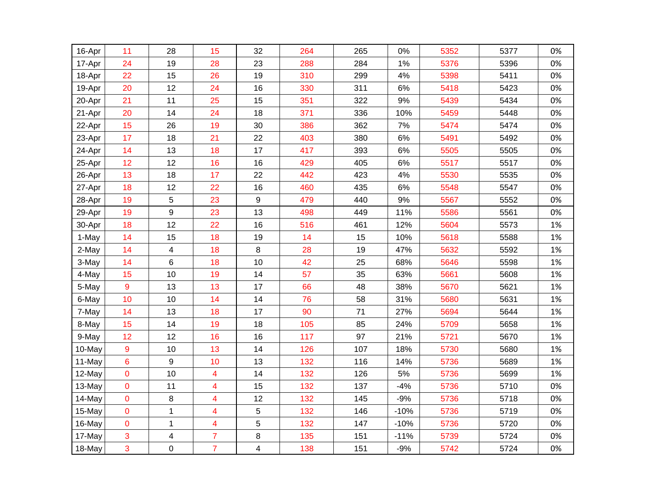| 16-Apr | 11             | 28           | 15             | 32 | 264 | 265 | 0%     | 5352 | 5377 | 0% |
|--------|----------------|--------------|----------------|----|-----|-----|--------|------|------|----|
| 17-Apr | 24             | 19           | 28             | 23 | 288 | 284 | 1%     | 5376 | 5396 | 0% |
| 18-Apr | 22             | 15           | 26             | 19 | 310 | 299 | 4%     | 5398 | 5411 | 0% |
| 19-Apr | 20             | 12           | 24             | 16 | 330 | 311 | 6%     | 5418 | 5423 | 0% |
| 20-Apr | 21             | 11           | 25             | 15 | 351 | 322 | 9%     | 5439 | 5434 | 0% |
| 21-Apr | 20             | 14           | 24             | 18 | 371 | 336 | 10%    | 5459 | 5448 | 0% |
| 22-Apr | 15             | 26           | 19             | 30 | 386 | 362 | 7%     | 5474 | 5474 | 0% |
| 23-Apr | 17             | 18           | 21             | 22 | 403 | 380 | $6\%$  | 5491 | 5492 | 0% |
| 24-Apr | 14             | 13           | 18             | 17 | 417 | 393 | 6%     | 5505 | 5505 | 0% |
| 25-Apr | 12             | 12           | 16             | 16 | 429 | 405 | $6\%$  | 5517 | 5517 | 0% |
| 26-Apr | 13             | 18           | 17             | 22 | 442 | 423 | 4%     | 5530 | 5535 | 0% |
| 27-Apr | 18             | 12           | 22             | 16 | 460 | 435 | 6%     | 5548 | 5547 | 0% |
| 28-Apr | 19             | 5            | 23             | 9  | 479 | 440 | 9%     | 5567 | 5552 | 0% |
| 29-Apr | 19             | 9            | 23             | 13 | 498 | 449 | 11%    | 5586 | 5561 | 0% |
| 30-Apr | 18             | 12           | 22             | 16 | 516 | 461 | 12%    | 5604 | 5573 | 1% |
| 1-May  | 14             | 15           | 18             | 19 | 14  | 15  | 10%    | 5618 | 5588 | 1% |
| 2-May  | 14             | 4            | 18             | 8  | 28  | 19  | 47%    | 5632 | 5592 | 1% |
| 3-May  | 14             | 6            | 18             | 10 | 42  | 25  | 68%    | 5646 | 5598 | 1% |
| 4-May  | 15             | 10           | 19             | 14 | 57  | 35  | 63%    | 5661 | 5608 | 1% |
| 5-May  | 9              | 13           | 13             | 17 | 66  | 48  | 38%    | 5670 | 5621 | 1% |
| 6-May  | 10             | 10           | 14             | 14 | 76  | 58  | 31%    | 5680 | 5631 | 1% |
| 7-May  | 14             | 13           | 18             | 17 | 90  | 71  | 27%    | 5694 | 5644 | 1% |
| 8-May  | 15             | 14           | 19             | 18 | 105 | 85  | 24%    | 5709 | 5658 | 1% |
| 9-May  | 12             | 12           | 16             | 16 | 117 | 97  | 21%    | 5721 | 5670 | 1% |
| 10-May | 9              | 10           | 13             | 14 | 126 | 107 | 18%    | 5730 | 5680 | 1% |
| 11-May | 6              | 9            | 10             | 13 | 132 | 116 | 14%    | 5736 | 5689 | 1% |
| 12-May | 0              | 10           | 4              | 14 | 132 | 126 | 5%     | 5736 | 5699 | 1% |
| 13-May | $\mathbf 0$    | 11           | 4              | 15 | 132 | 137 | $-4%$  | 5736 | 5710 | 0% |
| 14-May | $\overline{0}$ | 8            | 4              | 12 | 132 | 145 | $-9%$  | 5736 | 5718 | 0% |
| 15-May | $\mathbf 0$    | $\mathbf{1}$ | 4              | 5  | 132 | 146 | $-10%$ | 5736 | 5719 | 0% |
| 16-May | $\mathbf 0$    | 1            | 4              | 5  | 132 | 147 | $-10%$ | 5736 | 5720 | 0% |
| 17-May | 3              | 4            | $\overline{7}$ | 8  | 135 | 151 | $-11%$ | 5739 | 5724 | 0% |
| 18-May | 3              | 0            | $\overline{7}$ | 4  | 138 | 151 | $-9%$  | 5742 | 5724 | 0% |